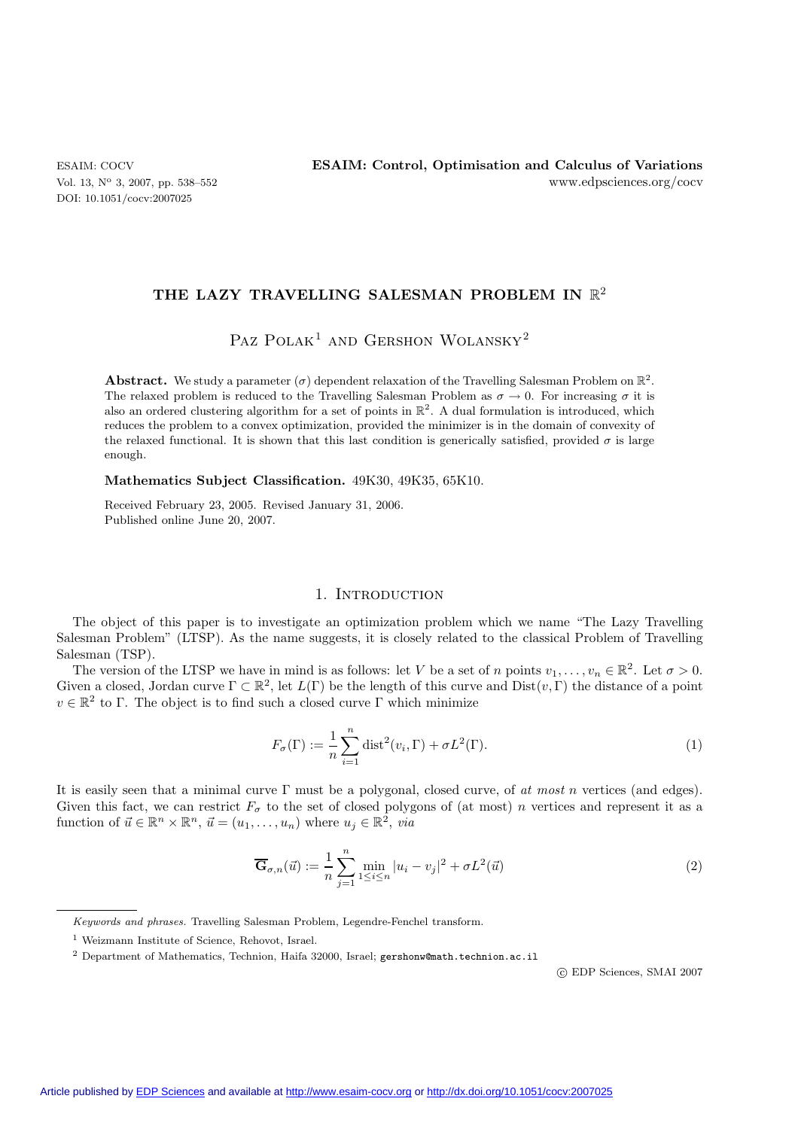DOI: 10.1051/cocv:2007025

## **THE LAZY TRAVELLING SALESMAN PROBLEM IN** R2

# Paz Polak<sup>1</sup> and Gershon Wolansky<sup>2</sup>

**Abstract.** We study a parameter ( $\sigma$ ) dependent relaxation of the Travelling Salesman Problem on  $\mathbb{R}^2$ . The relaxed problem is reduced to the Travelling Salesman Problem as  $\sigma \to 0$ . For increasing  $\sigma$  it is also an ordered clustering algorithm for a set of points in  $\mathbb{R}^2$ . A dual formulation is introduced, which reduces the problem to a convex optimization, provided the minimizer is in the domain of convexity of the relaxed functional. It is shown that this last condition is generically satisfied, provided  $\sigma$  is large enough.

**Mathematics Subject Classification.** 49K30, 49K35, 65K10.

Received February 23, 2005. Revised January 31, 2006. Published online June 20, 2007.

## 1. INTRODUCTION

The object of this paper is to investigate an optimization problem which we name "The Lazy Travelling Salesman Problem" (LTSP). As the name suggests, it is closely related to the classical Problem of Travelling Salesman (TSP).

The version of the LTSP we have in mind is as follows: let V be a set of n points  $v_1,\ldots,v_n \in \mathbb{R}^2$ . Let  $\sigma > 0$ . Given a closed, Jordan curve  $\Gamma \subset \mathbb{R}^2$ , let  $L(\Gamma)$  be the length of this curve and  $Dist(v, \Gamma)$  the distance of a point  $v \in \mathbb{R}^2$  to Γ. The object is to find such a closed curve Γ which minimize

$$
F_{\sigma}(\Gamma) := \frac{1}{n} \sum_{i=1}^{n} \text{dist}^{2}(v_{i}, \Gamma) + \sigma L^{2}(\Gamma). \tag{1}
$$

It is easily seen that a minimal curve Γ must be a polygonal, closed curve, of *at most* n vertices (and edges). Given this fact, we can restrict  $F_{\sigma}$  to the set of closed polygons of (at most) *n* vertices and represent it as a function of  $\vec{u} \in \mathbb{R}^n \times \mathbb{R}^n$ ,  $\vec{u} = (u_1, \dots, u_n)$  where  $u_j \in \mathbb{R}^2$ , *via* 

$$
\overline{\mathbf{G}}_{\sigma,n}(\vec{u}) := \frac{1}{n} \sum_{j=1}^{n} \min_{1 \le i \le n} |u_i - v_j|^2 + \sigma L^2(\vec{u})
$$
\n(2)

c EDP Sciences, SMAI 2007

*Keywords and phrases.* Travelling Salesman Problem, Legendre-Fenchel transform.

<sup>1</sup> Weizmann Institute of Science, Rehovot, Israel.

<sup>2</sup> Department of Mathematics, Technion, Haifa 32000, Israel; gershonw@math.technion.ac.il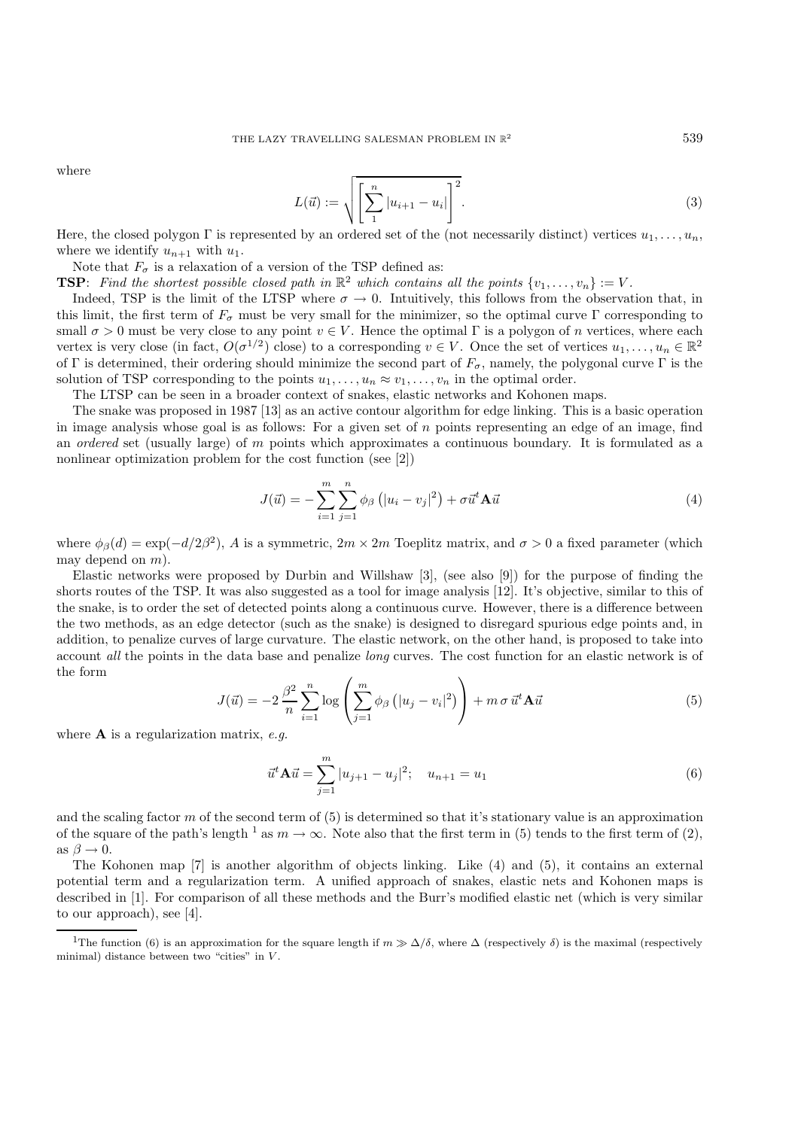where

$$
L(\vec{u}) := \sqrt{\left[\sum_{1}^{n} |u_{i+1} - u_i|\right]^2}.
$$
 (3)

Here, the closed polygon Γ is represented by an ordered set of the (not necessarily distinct) vertices  $u_1, \ldots, u_n$ , where we identify  $u_{n+1}$  with  $u_1$ .

Note that  $F_{\sigma}$  is a relaxation of a version of the TSP defined as:

**TSP**: *Find the shortest possible closed path in*  $\mathbb{R}^2$  *which contains all the points*  $\{v_1, \ldots, v_n\} := V$ *.* 

Indeed, TSP is the limit of the LTSP where  $\sigma \to 0$ . Intuitively, this follows from the observation that, in this limit, the first term of  $F_{\sigma}$  must be very small for the minimizer, so the optimal curve Γ corresponding to small  $\sigma > 0$  must be very close to any point  $v \in V$ . Hence the optimal  $\Gamma$  is a polygon of *n* vertices, where each vertex is very close (in fact,  $O(\sigma^{1/2})$  close) to a corresponding  $v \in V$ . Once the set of vertices  $u_1, \ldots, u_n \in \mathbb{R}^2$ of Γ is determined, their ordering should minimize the second part of  $F_{\sigma}$ , namely, the polygonal curve Γ is the solution of TSP corresponding to the points  $u_1, \ldots, u_n \approx v_1, \ldots, v_n$  in the optimal order.

The LTSP can be seen in a broader context of snakes, elastic networks and Kohonen maps.

The snake was proposed in 1987 [13] as an active contour algorithm for edge linking. This is a basic operation in image analysis whose goal is as follows: For a given set of n points representing an edge of an image, find an *ordered* set (usually large) of m points which approximates a continuous boundary. It is formulated as a nonlinear optimization problem for the cost function (see [2])

$$
J(\vec{u}) = -\sum_{i=1}^{m} \sum_{j=1}^{n} \phi_{\beta} \left( |u_i - v_j|^2 \right) + \sigma \vec{u}^t \mathbf{A} \vec{u}
$$
 (4)

where  $\phi_{\beta}(d) = \exp(-d/2\beta^2)$ , A is a symmetric,  $2m \times 2m$  Toeplitz matrix, and  $\sigma > 0$  a fixed parameter (which may depend on  $m$ ).

Elastic networks were proposed by Durbin and Willshaw [3], (see also [9]) for the purpose of finding the shorts routes of the TSP. It was also suggested as a tool for image analysis [12]. It's objective, similar to this of the snake, is to order the set of detected points along a continuous curve. However, there is a difference between the two methods, as an edge detector (such as the snake) is designed to disregard spurious edge points and, in addition, to penalize curves of large curvature. The elastic network, on the other hand, is proposed to take into account *all* the points in the data base and penalize *long* curves. The cost function for an elastic network is of the form

$$
J(\vec{u}) = -2\frac{\beta^2}{n} \sum_{i=1}^n \log \left( \sum_{j=1}^m \phi_\beta \left( |u_j - v_i|^2 \right) \right) + m \sigma \, \vec{u}^t \mathbf{A} \vec{u}
$$
 (5)

where **A** is a regularization matrix, *e.g.*

$$
\vec{u}^t \mathbf{A} \vec{u} = \sum_{j=1}^m |u_{j+1} - u_j|^2; \quad u_{n+1} = u_1 \tag{6}
$$

and the scaling factor m of the second term of (5) is determined so that it's stationary value is an approximation of the square of the path's length <sup>1</sup> as  $m \to \infty$ . Note also that the first term in (5) tends to the first term of (2), as  $\beta \rightarrow 0$ .

The Kohonen map [7] is another algorithm of objects linking. Like (4) and (5), it contains an external potential term and a regularization term. A unified approach of snakes, elastic nets and Kohonen maps is described in [1]. For comparison of all these methods and the Burr's modified elastic net (which is very similar to our approach), see [4].

<sup>&</sup>lt;sup>1</sup>The function (6) is an approximation for the square length if  $m \gg \Delta/\delta$ , where  $\Delta$  (respectively  $\delta$ ) is the maximal (respectively minimal) distance between two "cities" in  $V$ .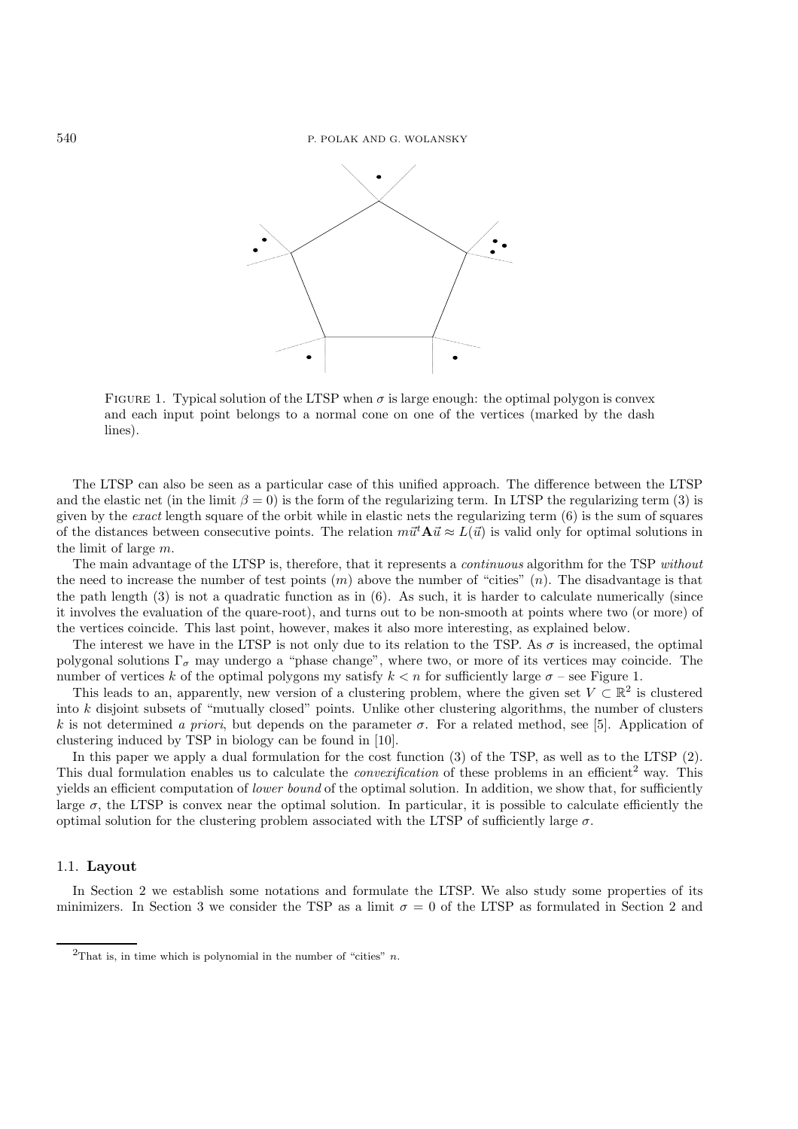

FIGURE 1. Typical solution of the LTSP when  $\sigma$  is large enough: the optimal polygon is convex and each input point belongs to a normal cone on one of the vertices (marked by the dash lines).

The LTSP can also be seen as a particular case of this unified approach. The difference between the LTSP and the elastic net (in the limit  $\beta = 0$ ) is the form of the regularizing term. In LTSP the regularizing term (3) is given by the *exact* length square of the orbit while in elastic nets the regularizing term (6) is the sum of squares of the distances between consecutive points. The relation  $m\vec{u}^t \mathbf{A}\vec{u} \approx L(\vec{u})$  is valid only for optimal solutions in the limit of large m.

The main advantage of the LTSP is, therefore, that it represents a *continuous* algorithm for the TSP *without* the need to increase the number of test points  $(m)$  above the number of "cities"  $(n)$ . The disadvantage is that the path length (3) is not a quadratic function as in (6). As such, it is harder to calculate numerically (since it involves the evaluation of the quare-root), and turns out to be non-smooth at points where two (or more) of the vertices coincide. This last point, however, makes it also more interesting, as explained below.

The interest we have in the LTSP is not only due to its relation to the TSP. As  $\sigma$  is increased, the optimal polygonal solutions  $\Gamma_{\sigma}$  may undergo a "phase change", where two, or more of its vertices may coincide. The number of vertices k of the optimal polygons my satisfy  $k < n$  for sufficiently large  $\sigma$  – see Figure 1.

This leads to an, apparently, new version of a clustering problem, where the given set  $V \subset \mathbb{R}^2$  is clustered into  $k$  disjoint subsets of "mutually closed" points. Unlike other clustering algorithms, the number of clusters k is not determined *a priori*, but depends on the parameter  $\sigma$ . For a related method, see [5]. Application of clustering induced by TSP in biology can be found in [10].

In this paper we apply a dual formulation for the cost function (3) of the TSP, as well as to the LTSP (2). This dual formulation enables us to calculate the *convexification* of these problems in an efficient<sup>2</sup> way. This yields an efficient computation of *lower bound* of the optimal solution. In addition, we show that, for sufficiently large  $\sigma$ , the LTSP is convex near the optimal solution. In particular, it is possible to calculate efficiently the optimal solution for the clustering problem associated with the LTSP of sufficiently large  $\sigma$ .

### 1.1. **Layout**

In Section 2 we establish some notations and formulate the LTSP. We also study some properties of its minimizers. In Section 3 we consider the TSP as a limit  $\sigma = 0$  of the LTSP as formulated in Section 2 and

<sup>&</sup>lt;sup>2</sup>That is, in time which is polynomial in the number of "cities"  $n$ .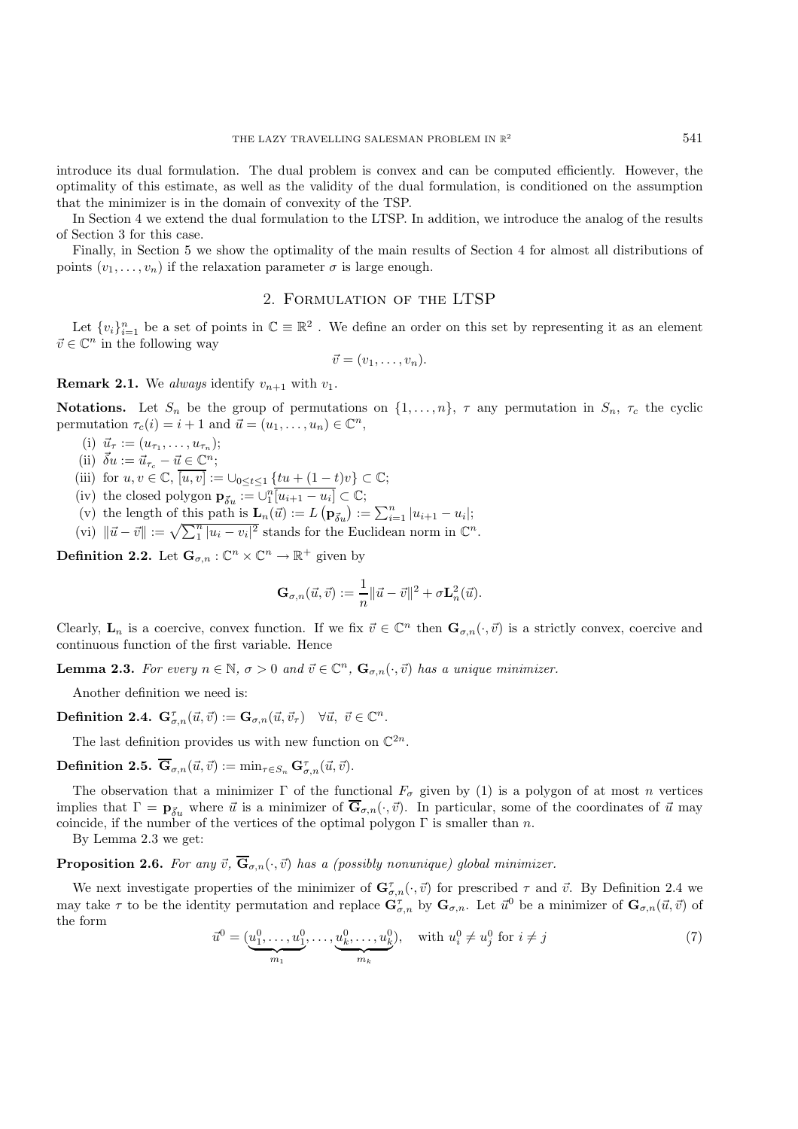introduce its dual formulation. The dual problem is convex and can be computed efficiently. However, the optimality of this estimate, as well as the validity of the dual formulation, is conditioned on the assumption that the minimizer is in the domain of convexity of the TSP.

In Section 4 we extend the dual formulation to the LTSP. In addition, we introduce the analog of the results of Section 3 for this case.

Finally, in Section 5 we show the optimality of the main results of Section 4 for almost all distributions of points  $(v_1,\ldots,v_n)$  if the relaxation parameter  $\sigma$  is large enough.

## 2. Formulation of the LTSP

Let  $\{v_i\}_{i=1}^n$  be a set of points in  $\mathbb{C} \equiv \mathbb{R}^2$ . We define an order on this set by representing it as an element  $\vec{v} \in \mathbb{C}^n$  in the following way

$$
\vec{v}=(v_1,\ldots,v_n).
$$

**Remark 2.1.** We *always* identify  $v_{n+1}$  with  $v_1$ .

**Notations.** Let  $S_n$  be the group of permutations on  $\{1,\ldots,n\}$ ,  $\tau$  any permutation in  $S_n$ ,  $\tau_c$  the cyclic permutation  $\tau_c(i) = i + 1$  and  $\vec{u} = (u_1, \ldots, u_n) \in \mathbb{C}^n$ ,

- (i)  $\vec{u}_{\tau} := (u_{\tau_1}, \ldots, u_{\tau_n});$
- (ii)  $\vec{\delta}u := \vec{u}_{\tau_c} \vec{u} \in \mathbb{C}^n;$
- (iii) for  $u, v \in \mathbb{C}$ ,  $\overline{[u, v]} := \cup_{0 \leq t \leq 1} \{tu + (1 t)v\} \subset \mathbb{C}$ ;
- (iv) the closed polygon  $\mathbf{p}_{\vec{\delta}u} := \bigcup_{1}^{n} \overline{[u_{i+1} u_i]} \subset \mathbb{C}$ ;
- (v) the length of this path is  $\mathbf{L}_n(\vec{u}) := L(\mathbf{p}_{\vec{\delta}u}) := \sum_{i=1}^n |u_{i+1} u_i|;$
- (vi)  $\|\vec{u} \vec{v}\| := \sqrt{\sum_{i=1}^{n} |u_i v_i|^2}$  stands for the Euclidean norm in  $\mathbb{C}^n$ .

**Definition 2.2.** Let  $\mathbf{G}_{\sigma,n} : \mathbb{C}^n \times \mathbb{C}^n \to \mathbb{R}^+$  given by

$$
\mathbf{G}_{\sigma,n}(\vec{u},\vec{v}) := \frac{1}{n} ||\vec{u} - \vec{v}||^2 + \sigma \mathbf{L}_n^2(\vec{u}).
$$

Clearly,  $\mathbf{L}_n$  is a coercive, convex function. If we fix  $\vec{v} \in \mathbb{C}^n$  then  $\mathbf{G}_{\sigma,n}(\cdot,\vec{v})$  is a strictly convex, coercive and continuous function of the first variable. Hence

**Lemma 2.3.** For every  $n \in \mathbb{N}$ ,  $\sigma > 0$  and  $\vec{v} \in \mathbb{C}^n$ ,  $\mathbf{G}_{\sigma,n}(\cdot, \vec{v})$  has a unique minimizer.

Another definition we need is:

 $\textbf{Definition 2.4.} \ \mathbf{G}^{\tau}_{\sigma,n}(\vec{u},\vec{v}):=\mathbf{G}_{\sigma,n}(\vec{u},\vec{v}_{\tau}) \quad \forall \vec{u}, \ \vec{v} \in \mathbb{C}^n.$ 

The last definition provides us with new function on  $\mathbb{C}^{2n}$ .

 $\textbf{Definition 2.5.} \ \overline{\mathbf{G}}_{\sigma,n}(\vec{u},\vec{v}) := \min_{\tau \in S_n} \mathbf{G}_{\sigma,n}^{\tau}(\vec{u},\vec{v}).$ 

The observation that a minimizer  $\Gamma$  of the functional  $F_{\sigma}$  given by (1) is a polygon of at most n vertices implies that  $\Gamma = \mathbf{p}_{\vec{\delta}_u}$  where  $\vec{u}$  is a minimizer of  $\overline{\mathbf{G}}_{\sigma,n}(\cdot,\vec{v})$ . In particular, some of the coordinates of  $\vec{u}$  may coincide, if the number of the vertices of the optimal polygon  $\Gamma$  is smaller than n.

By Lemma 2.3 we get:

**Proposition 2.6.** For any  $\vec{v}$ ,  $\overline{\mathbf{G}}_{\sigma,n}(\cdot,\vec{v})$  has a (possibly nonunique) global minimizer.

We next investigate properties of the minimizer of  $\mathbf{G}^{\tau}_{\sigma,n}(\cdot,\vec{v})$  for prescribed  $\tau$  and  $\vec{v}$ . By Definition 2.4 we may take  $\tau$  to be the identity permutation and replace  $\mathbf{G}^{\tau}_{\sigma,n}$  by  $\mathbf{G}_{\sigma,n}$ . Let  $\vec{u}^0$  be a minimizer of  $\mathbf{G}_{\sigma,n}(\vec{u},\vec{v})$  of the form

$$
\vec{u}^0 = (\underbrace{u_1^0, \dots, u_1^0}_{m_1}, \dots, \underbrace{u_k^0, \dots, u_k^0}_{m_k}), \quad \text{with } u_i^0 \neq u_j^0 \text{ for } i \neq j \tag{7}
$$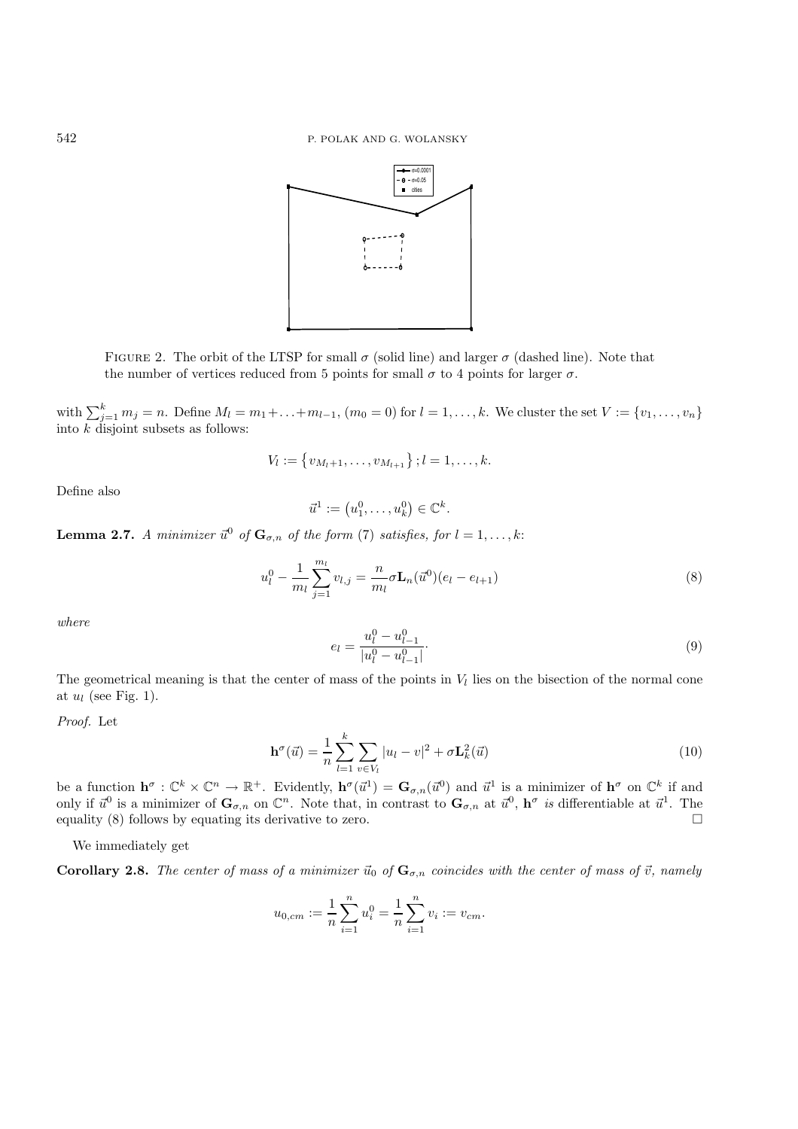

FIGURE 2. The orbit of the LTSP for small  $\sigma$  (solid line) and larger  $\sigma$  (dashed line). Note that the number of vertices reduced from 5 points for small  $\sigma$  to 4 points for larger  $\sigma$ .

with  $\sum_{j=1}^{k} m_j = n$ . Define  $M_l = m_1 + \ldots + m_{l-1}$ ,  $(m_0 = 0)$  for  $l = 1, \ldots, k$ . We cluster the set  $V := \{v_1, \ldots, v_n\}$ into  $k$  disjoint subsets as follows:

$$
V_l := \{v_{M_l+1}, \ldots, v_{M_{l+1}}\}; l = 1, \ldots, k.
$$

Define also

$$
\vec{u}^1 := \left(u_1^0, \ldots, u_k^0\right) \in \mathbb{C}^k.
$$

**Lemma 2.7.** *A minimizer*  $\vec{u}^0$  *of*  $\mathbf{G}_{\sigma,n}$  *of the form* (7) *satisfies, for*  $l = 1, \ldots, k$ :

$$
u_l^0 - \frac{1}{m_l} \sum_{j=1}^{m_l} v_{l,j} = \frac{n}{m_l} \sigma \mathbf{L}_n(\vec{u}^0)(e_l - e_{l+1})
$$
\n(8)

*where*

$$
e_l = \frac{u_l^0 - u_{l-1}^0}{|u_l^0 - u_{l-1}^0|}.\tag{9}
$$

The geometrical meaning is that the center of mass of the points in  $V_l$  lies on the bisection of the normal cone at  $u_l$  (see Fig. 1).

*Proof.* Let

$$
\mathbf{h}^{\sigma}(\vec{u}) = \frac{1}{n} \sum_{l=1}^{k} \sum_{v \in V_l} |u_l - v|^2 + \sigma \mathbf{L}_k^2(\vec{u})
$$
(10)

be a function  $\mathbf{h}^{\sigma}: \mathbb{C}^k \times \mathbb{C}^n \to \mathbb{R}^+$ . Evidently,  $\mathbf{h}^{\sigma}(\vec{u}^1) = \mathbf{G}_{\sigma,n}(\vec{u}^0)$  and  $\vec{u}^1$  is a minimizer of  $\mathbf{h}^{\sigma}$  on  $\mathbb{C}^k$  if and only if  $\vec{u}^0$  is a minimizer of  $\mathbf{G}_{\sigma,n}$  on  $\mathbb{C}^n$ . Note that, in contrast to  $\mathbf{G}_{\sigma,n}$  at  $\vec{u}^0$ ,  $\mathbf{h}^\sigma$  *is* differentiable at  $\vec{u}^1$ . The equality (8) follows by equating its derivative to zero.  $\Box$ 

We immediately get

**Corollary 2.8.** The center of mass of a minimizer  $\vec{u}_0$  of  $\mathbf{G}_{\sigma,n}$  coincides with the center of mass of  $\vec{v}$ , namely

$$
u_{0,cm} := \frac{1}{n} \sum_{i=1}^{n} u_i^0 = \frac{1}{n} \sum_{i=1}^{n} v_i := v_{cm}.
$$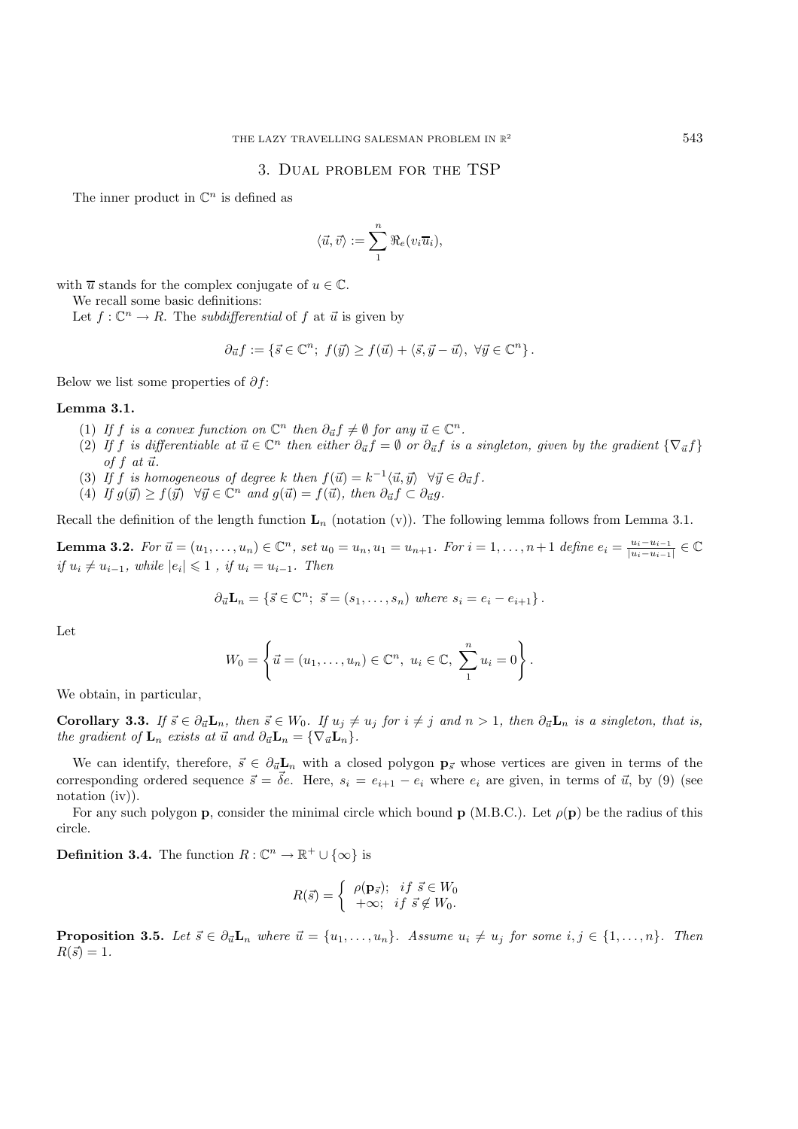### 3. Dual problem for the TSP

The inner product in  $\mathbb{C}^n$  is defined as

$$
\langle \vec{u}, \vec{v} \rangle := \sum_1^n \Re_e(v_i \overline{u}_i),
$$

with  $\overline{u}$  stands for the complex conjugate of  $u \in \mathbb{C}$ .

We recall some basic definitions:

Let  $f: \mathbb{C}^n \to R$ . The *subdifferential* of f at  $\vec{u}$  is given by

$$
\partial_{\vec{u}}f := \{ \vec{s} \in \mathbb{C}^n; \ f(\vec{y}) \ge f(\vec{u}) + \langle \vec{s}, \vec{y} - \vec{u} \rangle, \ \forall \vec{y} \in \mathbb{C}^n \}.
$$

Below we list some properties of  $\partial f$ :

#### **Lemma 3.1.**

- (1) If f is a convex function on  $\mathbb{C}^n$  then  $\partial_{\vec{u}} f \neq \emptyset$  for any  $\vec{u} \in \mathbb{C}^n$ .
- (2) If f is differentiable at  $\vec{u} \in \mathbb{C}^n$  then either  $\partial_{\vec{u}} f = \emptyset$  or  $\partial_{\vec{u}} f$  is a singleton, given by the gradient  $\{\nabla_{\vec{u}} f\}$ of  $f$  at  $\vec{u}$ .
- (3) If f is homogeneous of degree k then  $f(\vec{u}) = k^{-1} \langle \vec{u}, \vec{y} \rangle \quad \forall \vec{y} \in \partial_{\vec{u}} f$ .
- (4) If  $g(\vec{y}) \ge f(\vec{y})$   $\forall \vec{y} \in \mathbb{C}^n$  and  $g(\vec{u}) = f(\vec{u})$ , then  $\partial_{\vec{u}} f \subset \partial_{\vec{u}} g$ .

Recall the definition of the length function  $\mathbf{L}_n$  (notation (v)). The following lemma follows from Lemma 3.1.

**Lemma 3.2.** For  $\vec{u} = (u_1, \ldots, u_n) \in \mathbb{C}^n$ , set  $u_0 = u_n, u_1 = u_{n+1}$ . For  $i = 1, \ldots, n+1$  define  $e_i = \frac{u_i - u_{i-1}}{|u_i - u_{i-1}|} \in \mathbb{C}$ *if*  $u_i \neq u_{i-1}$ , while  $|e_i| \leq 1$ , *if*  $u_i = u_{i-1}$ . Then

$$
\partial_{\vec{u}}\mathbf{L}_n = \{\vec{s} \in \mathbb{C}^n; \ \vec{s} = (s_1, \ldots, s_n) \text{ where } s_i = e_i - e_{i+1}\}.
$$

Let

$$
W_0 = \left\{ \vec{u} = (u_1, \dots, u_n) \in \mathbb{C}^n, \ u_i \in \mathbb{C}, \ \sum_{1}^{n} u_i = 0 \right\}.
$$

We obtain, in particular,

**Corollary 3.3.** If  $\vec{s} \in \partial_{\vec{u}}\mathbf{L}_n$ , then  $\vec{s} \in W_0$ . If  $u_j \neq u_j$  for  $i \neq j$  and  $n > 1$ , then  $\partial_{\vec{u}}\mathbf{L}_n$  is a singleton, that is, *the gradient of*  $\mathbf{L}_n$  *exists at*  $\vec{u}$  *and*  $\partial_{\vec{u}} \mathbf{L}_n = {\nabla_{\vec{u}} \mathbf{L}_n}$ .

We can identify, therefore,  $\vec{s} \in \partial_{\vec{u}} L_n$  with a closed polygon  $p_{\vec{s}}$  whose vertices are given in terms of the corresponding ordered sequence  $\vec{s} = \vec{\delta}e$ . Here,  $s_i = e_{i+1} - e_i$  where  $e_i$  are given, in terms of  $\vec{u}$ , by (9) (see notation (iv)).

For any such polygon **p**, consider the minimal circle which bound **p** (M.B.C.). Let  $\rho(\mathbf{p})$  be the radius of this circle.

**Definition 3.4.** The function  $R: \mathbb{C}^n \to \mathbb{R}^+ \cup \{\infty\}$  is

$$
R(\vec{s}) = \begin{cases} \rho(\mathbf{p}_{\vec{s}}); & \text{if } \vec{s} \in W_0 \\ +\infty; & \text{if } \vec{s} \notin W_0. \end{cases}
$$

**Proposition 3.5.** Let  $\vec{s} \in \partial_{\vec{u}} L_n$  where  $\vec{u} = \{u_1, \ldots, u_n\}$ . Assume  $u_i \neq u_j$  for some  $i, j \in \{1, \ldots, n\}$ . Then  $R(\vec{s}) = 1.$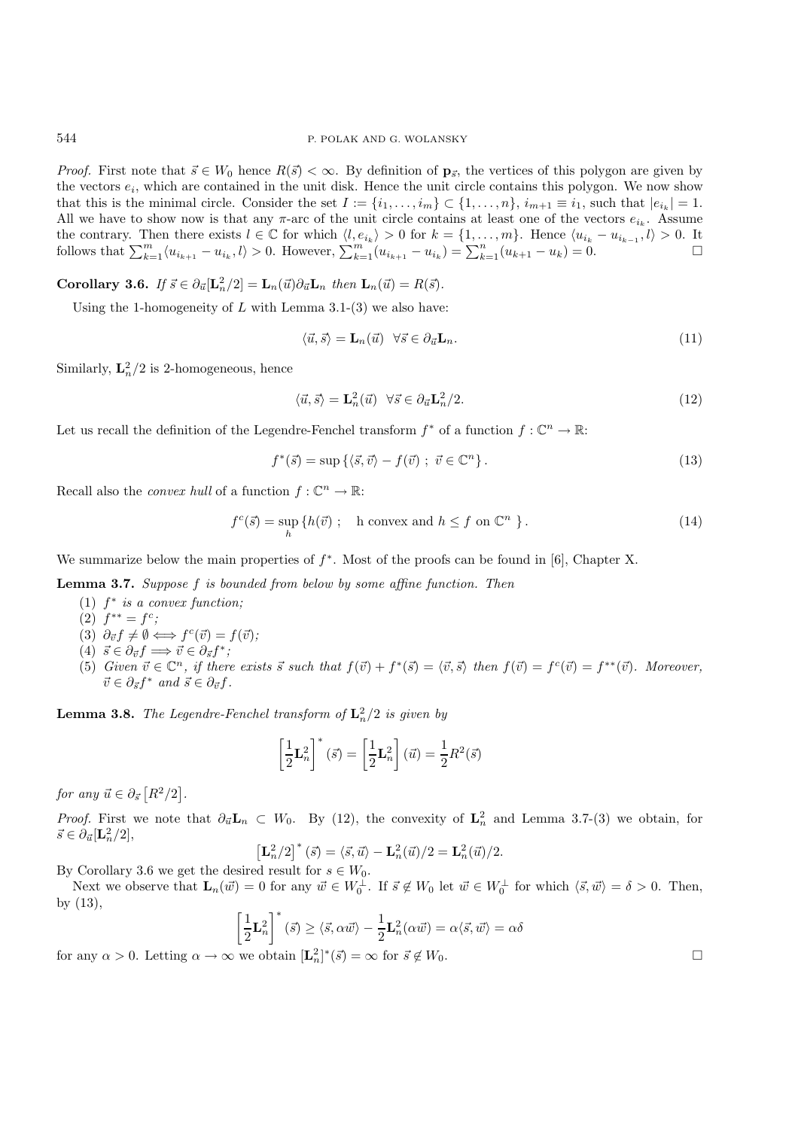*Proof.* First note that  $\vec{s} \in W_0$  hence  $R(\vec{s}) < \infty$ . By definition of  $\mathbf{p}_{\vec{s}}$ , the vertices of this polygon are given by the vectors  $e_i$ , which are contained in the unit disk. Hence the unit circle contains this polygon. We now show that this is the minimal circle. Consider the set  $I := \{i_1, \ldots, i_m\} \subset \{1, \ldots, n\}, i_{m+1} \equiv i_1$ , such that  $|e_{i_k}| = 1$ . All we have to show now is that any  $\pi$ -arc of the unit circle contains at least one of the vectors  $e_{i_k}$ . Assume the contrary. Then there exists  $l \in \mathbb{C}$  for which  $\langle l, e_{i_k} \rangle > 0$  for  $k = \{1, \ldots, m\}$ . Hence  $\langle u_{i_k} - u_{i_{k-1}}, l \rangle > 0$ . It follows that  $\sum_{k=1}^{m} \langle u_{i_{k+1}} - u_{i_k}, l \rangle > 0$ . However,  $\sum_{k=1}^{m} (u_{i_{k+1}} - u_{i_k}) = \sum_{k=1}^{n} (u_{k+1} - u_k) = 0$ .

**Corollary 3.6.** *If*  $\vec{s} \in \partial_{\vec{u}}[\mathbf{L}_n^2/2] = \mathbf{L}_n(\vec{u})\partial_{\vec{u}}\mathbf{L}_n$  then  $\mathbf{L}_n(\vec{u}) = R(\vec{s})$ *.* 

Using the 1-homogeneity of  $L$  with Lemma 3.1-(3) we also have:

$$
\langle \vec{u}, \vec{s} \rangle = \mathbf{L}_n(\vec{u}) \quad \forall \vec{s} \in \partial_{\vec{u}} \mathbf{L}_n. \tag{11}
$$

Similarly,  $\mathbf{L}_n^2/2$  is 2-homogeneous, hence

$$
\langle \vec{u}, \vec{s} \rangle = \mathbf{L}_n^2(\vec{u}) \quad \forall \vec{s} \in \partial_{\vec{u}} \mathbf{L}_n^2 / 2. \tag{12}
$$

Let us recall the definition of the Legendre-Fenchel transform  $f^*$  of a function  $f: \mathbb{C}^n \to \mathbb{R}$ :

$$
f^*(\vec{s}) = \sup \{ \langle \vec{s}, \vec{v} \rangle - f(\vec{v}) \; ; \; \vec{v} \in \mathbb{C}^n \} \,. \tag{13}
$$

Recall also the *convex hull* of a function  $f: \mathbb{C}^n \to \mathbb{R}$ :

$$
f^{c}(\vec{s}) = \sup_{h} \{ h(\vec{v}) \; ; \quad h \text{ convex and } h \le f \text{ on } \mathbb{C}^{n} \; \}.
$$
 (14)

We summarize below the main properties of  $f^*$ . Most of the proofs can be found in [6], Chapter X.

**Lemma 3.7.** *Suppose* f *is bounded from below by some affine function. Then*

- $(1)$   $f^*$  *is a convex function;*
- (2)  $f^{**} = f^c$ ;
- (3)  $\partial_{\vec{v}} f \neq \emptyset \Longleftrightarrow f^c(\vec{v}) = f(\vec{v});$
- $(4)$   $\vec{s} \in \partial_{\vec{v}} f \Longrightarrow \vec{v} \in \partial_{\vec{s}} f^*;$
- (5) *Given*  $\vec{v} \in \mathbb{C}^n$ , if there exists  $\vec{s}$  such that  $f(\vec{v}) + f^*(\vec{s}) = \langle \vec{v}, \vec{s} \rangle$  then  $f(\vec{v}) = f^c(\vec{v}) = f^{**}(\vec{v})$ . Moreover,  $\vec{v} \in \partial_{\vec{s}} f^*$  and  $\vec{s} \in \partial_{\vec{v}} f$ .

**Lemma 3.8.** *The Legendre-Fenchel transform of*  $\mathbf{L}_n^2/2$  *is given by* 

$$
\left[\frac{1}{2}\mathbf{L}_n^2\right]^* (\vec{s}) = \left[\frac{1}{2}\mathbf{L}_n^2\right](\vec{u}) = \frac{1}{2}R^2(\vec{s})
$$

*for any*  $\vec{u} \in \partial_{\vec{s}} [R^2/2].$ 

*Proof.* First we note that  $\partial_{\vec{u}}\mathbf{L}_n \subset W_0$ . By (12), the convexity of  $\mathbf{L}_n^2$  and Lemma 3.7-(3) we obtain, for  $\vec{s} \in \partial_{\vec{u}}[\mathbf{L}_n^2/2],$ 

$$
\left[\mathbf{L}_n^2/2\right]^*(\vec{s}) = \langle \vec{s}, \vec{u} \rangle - \mathbf{L}_n^2(\vec{u})/2 = \mathbf{L}_n^2(\vec{u})/2.
$$

By Corollary 3.6 we get the desired result for  $s \in W_0$ .

Next we observe that  $\mathbf{L}_n(\vec{w}) = 0$  for any  $\vec{w} \in W_0^{\perp}$ . If  $\vec{s} \notin W_0$  let  $\vec{w} \in W_0^{\perp}$  for which  $\langle \vec{s}, \vec{w} \rangle = \delta > 0$ . Then, by (13),

$$
\left[\frac{1}{2}\mathbf{L}_n^2\right]^*(\vec{s}) \ge \langle \vec{s}, \alpha \vec{w} \rangle - \frac{1}{2}\mathbf{L}_n^2(\alpha \vec{w}) = \alpha \langle \vec{s}, \vec{w} \rangle = \alpha \delta
$$

for any  $\alpha > 0$ . Letting  $\alpha \to \infty$  we obtain  $[\mathbf{L}_n^2]^*(\vec{s}) = \infty$  for  $\vec{s} \notin W_0$ .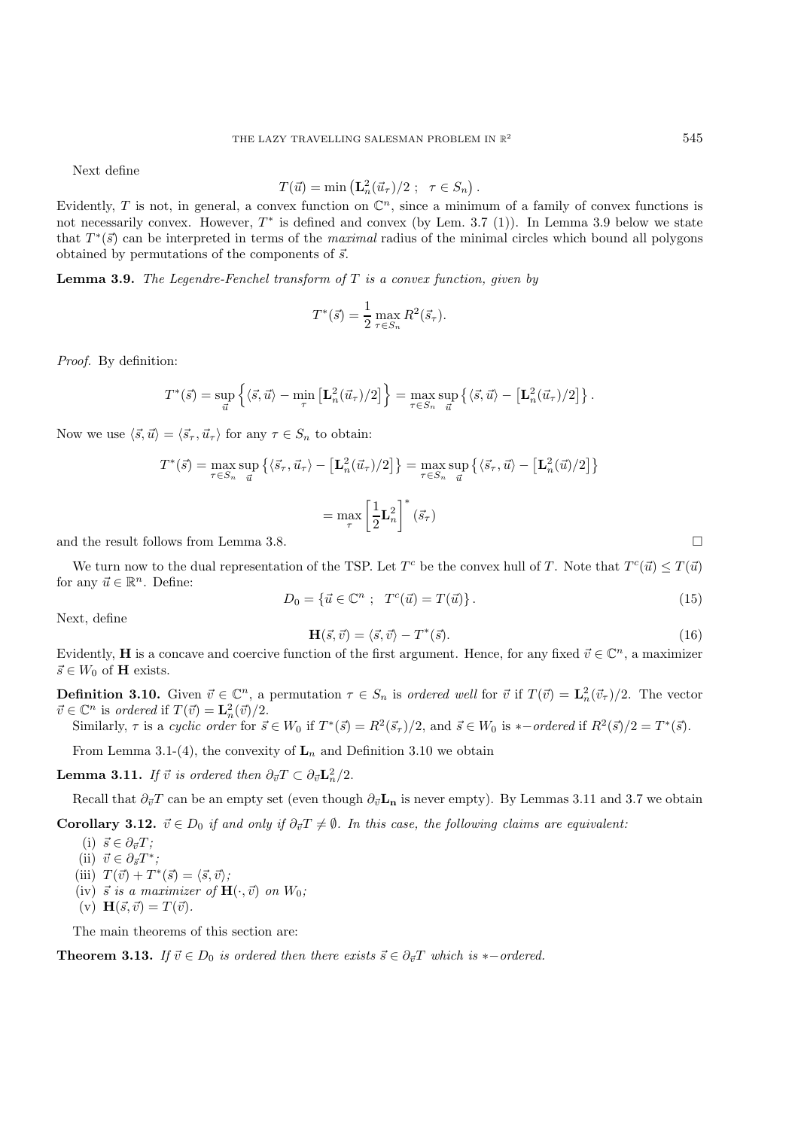Next define

$$
T(\vec{u}) = \min\left(\mathbf{L}_n^2(\vec{u}_\tau)/2 \; ; \; \tau \in S_n\right).
$$

Evidently, T is not, in general, a convex function on  $\mathbb{C}^n$ , since a minimum of a family of convex functions is not necessarily convex. However,  $T^*$  is defined and convex (by Lem. 3.7 (1)). In Lemma 3.9 below we state that  $T^*(\vec{s})$  can be interpreted in terms of the *maximal* radius of the minimal circles which bound all polygons obtained by permutations of the components of  $\vec{s}$ .

**Lemma 3.9.** *The Legendre-Fenchel transform of* T *is a convex function, given by*

$$
T^*(\vec{s}) = \frac{1}{2} \max_{\tau \in S_n} R^2(\vec{s}_{\tau}).
$$

*Proof.* By definition:

$$
T^*(\vec{s}) = \sup_{\vec{u}} \left\{ \langle \vec{s}, \vec{u} \rangle - \min_{\tau} \left[ \mathbf{L}_n^2(\vec{u}_\tau)/2 \right] \right\} = \max_{\tau \in S_n} \sup_{\vec{u}} \left\{ \langle \vec{s}, \vec{u} \rangle - \left[ \mathbf{L}_n^2(\vec{u}_\tau)/2 \right] \right\}.
$$

Now we use  $\langle \vec{s}, \vec{u} \rangle = \langle \vec{s}_{\tau}, \vec{u}_{\tau} \rangle$  for any  $\tau \in S_n$  to obtain:

$$
T^*(\vec{s}) = \max_{\tau \in S_n} \sup_{\vec{u}} \left\{ \langle \vec{s}_{\tau}, \vec{u}_{\tau} \rangle - \left[ \mathbf{L}_n^2 (\vec{u}_{\tau}) / 2 \right] \right\} = \max_{\tau \in S_n} \sup_{\vec{u}} \left\{ \langle \vec{s}_{\tau}, \vec{u} \rangle - \left[ \mathbf{L}_n^2 (\vec{u}) / 2 \right] \right\}
$$

$$
= \max_{\tau} \left[ \frac{1}{2} \mathbf{L}_n^2 \right]^* (\vec{s}_{\tau})
$$

and the result follows from Lemma 3.8.

We turn now to the dual representation of the TSP. Let  $T^c$  be the convex hull of T. Note that  $T^c(\vec{u}) \leq T(\vec{u})$ for any  $\vec{u} \in \mathbb{R}^n$ . Define:

$$
D_0 = \{ \vec{u} \in \mathbb{C}^n ; \quad T^c(\vec{u}) = T(\vec{u}) \}.
$$
\n
$$
(15)
$$

Next, define

$$
\mathbf{H}(\vec{s}, \vec{v}) = \langle \vec{s}, \vec{v} \rangle - T^*(\vec{s}). \tag{16}
$$

Evidently, **H** is a concave and coercive function of the first argument. Hence, for any fixed  $\vec{v} \in \mathbb{C}^n$ , a maximizer  $\vec{s} \in W_0$  of  $\mathbf{H}$  exists.

**Definition 3.10.** Given  $\vec{v} \in \mathbb{C}^n$ , a permutation  $\tau \in S_n$  is *ordered well* for  $\vec{v}$  if  $T(\vec{v}) = \mathbf{L}_n^2(\vec{v}_\tau)/2$ . The vector  $\vec{v} \in \mathbb{C}^n$  is *ordered* if  $T(\vec{v}) = \mathbf{L}_n^2(\vec{v})/2$ .

Similarly,  $\tau$  is a *cyclic order* for  $\vec{s} \in W_0$  if  $T^*(\vec{s}) = R^2(\vec{s}_\tau)/2$ , and  $\vec{s} \in W_0$  is \*-*ordered* if  $R^2(\vec{s})/2 = T^*(\vec{s})$ .

From Lemma 3.1-(4), the convexity of  $L_n$  and Definition 3.10 we obtain

**Lemma 3.11.** *If*  $\vec{v}$  *is ordered then*  $\partial_{\vec{v}}T \subset \partial_{\vec{v}}\mathbf{L}_n^2/2$ .

Recall that  $\partial_{\vec{v}}T$  can be an empty set (even though  $\partial_{\vec{v}}\mathbf{L}_{\mathbf{n}}$  is never empty). By Lemmas 3.11 and 3.7 we obtain

**Corollary 3.12.**  $\vec{v} \in D_0$  *if and only if*  $\partial_{\vec{v}}T \neq \emptyset$ . In this case, the following claims are equivalent:

 $(i)$   $\vec{s} \in \partial_{\vec{v}} T;$ 

(ii) 
$$
\vec{v} \in \partial_{\vec{s}}T^*
$$
;

- (iii)  $T(\vec{v}) + T^*(\vec{s}) = \langle \vec{s}, \vec{v} \rangle;$
- $(iv)$   $\vec{s}$  *is a maximizer of*  $\mathbf{H}(\cdot, \vec{v})$  *on*  $W_0$ ;
- $(v)$ **H** $(\vec{s}, \vec{v}) = T(\vec{v}).$

The main theorems of this section are:

**Theorem 3.13.** *If*  $\vec{v} \in D_0$  *is ordered then there exists*  $\vec{s} \in \partial_{\vec{v}}T$  *which is* \*-*ordered.*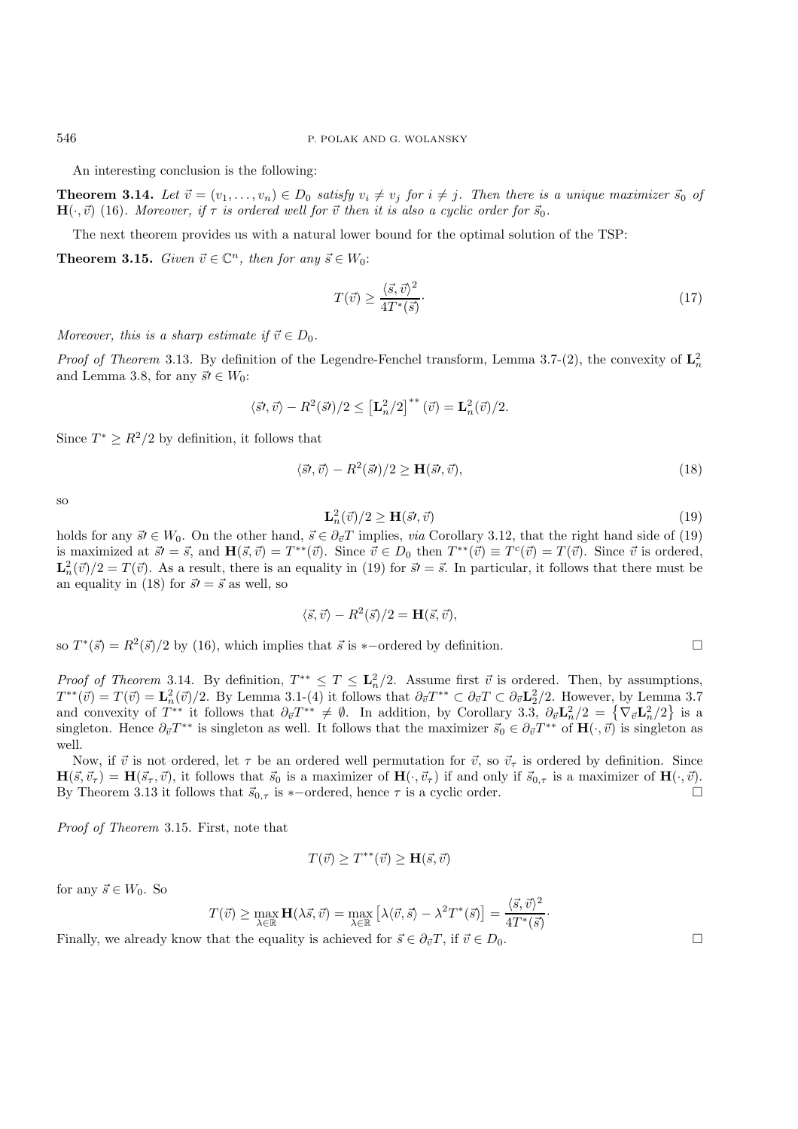An interesting conclusion is the following:

**Theorem 3.14.** Let  $\vec{v} = (v_1, \ldots, v_n) \in D_0$  satisfy  $v_i \neq v_j$  for  $i \neq j$ . Then there is a unique maximizer  $\vec{s}_0$  of  $\mathbf{H}(\cdot, \vec{v})$  (16)*.* Moreover, if  $\tau$  is ordered well for  $\vec{v}$  then it is also a cyclic order for  $\vec{s}_0$ .

The next theorem provides us with a natural lower bound for the optimal solution of the TSP:

**Theorem 3.15.** *Given*  $\vec{v} \in \mathbb{C}^n$ *, then for any*  $\vec{s} \in W_0$ :

$$
T(\vec{v}) \ge \frac{\langle \vec{s}, \vec{v} \rangle^2}{4T^*(\vec{s})}.\tag{17}
$$

*Moreover, this is a sharp estimate if*  $\vec{v} \in D_0$ *.* 

*Proof of Theorem* 3.13. By definition of the Legendre-Fenchel transform, Lemma 3.7-(2), the convexity of  $\mathbf{L}_n^2$ and Lemma 3.8, for any  $\vec{s} \in W_0$ :

$$
\langle \vec{s}\prime, \vec{v} \rangle - R^2(\vec{s}\prime)/2 \leq \left[\mathbf{L}_n^2/2\right]^{**} (\vec{v}) = \mathbf{L}_n^2(\vec{v})/2.
$$

Since  $T^* \geq R^2/2$  by definition, it follows that

$$
\langle \vec{s}, \vec{v} \rangle - R^2(\vec{s})/2 \ge \mathbf{H}(\vec{s}, \vec{v}), \tag{18}
$$

so

$$
\mathbf{L}_n^2(\vec{v})/2 \ge \mathbf{H}(\vec{s}, \vec{v})\tag{19}
$$

holds for any  $\vec{s} \in W_0$ . On the other hand,  $\vec{s} \in \partial_{\vec{v}} T$  implies, *via* Corollary 3.12, that the right hand side of (19) is maximized at  $\vec{s'} = \vec{s}$ , and  $\mathbf{H}(\vec{s}, \vec{v}) = T^{**}(\vec{v})$ . Since  $\vec{v} \in D_0$  then  $T^{**}(\vec{v}) \equiv T^c(\vec{v}) = T(\vec{v})$ . Since  $\vec{v}$  is ordered,  $\mathbf{L}_n^2(\vec{v})/2 = T(\vec{v})$ . As a result, there is an equality in (19) for  $\vec{s}$  =  $\vec{s}$ . In particular, it follows that there must be an equality in (18) for  $\vec{s'} = \vec{s}$  as well, so

$$
\langle \vec{s}, \vec{v} \rangle - R^2(\vec{s})/2 = \mathbf{H}(\vec{s}, \vec{v}),
$$

so  $T^*(\vec{s}) = R^2(\vec{s})/2$  by (16), which implies that  $\vec{s}$  is \*-ordered by definition.

*Proof of Theorem* 3.14. By definition,  $T^{**} \leq T \leq L_n^2/2$ . Assume first  $\vec{v}$  is ordered. Then, by assumptions,  $T^{**}(\vec{v}) = T(\vec{v}) = \mathbf{L}_n^2(\vec{v})/2$ . By Lemma 3.1-(4) it follows that  $\partial_{\vec{v}}T^{**} \subset \partial_{\vec{v}}T \subset \partial_{\vec{v}}\mathbf{L}_2^2/2$ . However, by Lemma 3.7 and convexity of  $T^{**}$  it follows that  $\partial_{\vec{v}}T^{**} \neq \emptyset$ . In addition, by Corollary 3.3,  $\partial_{\vec{v}}L_n^2/2 = {\nabla_{\vec{v}}L_n^2/2}$  is a singleton. Hence  $\partial_{\vec{v}}T^{**}$  is singleton as well. It follows that the maximizer  $\vec{s}_0 \in \partial_{\vec{v}}T^{**}$  of  $\mathbf{H}(\cdot, \vec{v})$  is singleton as well.

Now, if  $\vec{v}$  is not ordered, let  $\tau$  be an ordered well permutation for  $\vec{v}$ , so  $\vec{v}_{\tau}$  is ordered by definition. Since  $\mathbf{H}(\vec{s}, \vec{v}_{\tau}) = \mathbf{H}(\vec{s}_{\tau}, \vec{v})$ , it follows that  $\vec{s}_0$  is a maximizer of  $\mathbf{H}(\cdot, \vec{v}_{\tau})$  if and only if  $\vec{s}_{0,\tau}$  is a maximizer of  $\mathbf{H}(\cdot, \vec{v})$ . By Theorem 3.13 it follows that  $\vec{s}_{0,\tau}$  is \*-ordered, hence  $\tau$  is a cyclic order.

*Proof of Theorem* 3.15. First, note that

$$
T(\vec{v}) \ge T^{**}(\vec{v}) \ge \mathbf{H}(\vec{s}, \vec{v})
$$

for any  $\vec{s} \in W_0$ . So

$$
T(\vec{v}) \ge \max_{\lambda \in \mathbb{R}} \mathbf{H}(\lambda \vec{s}, \vec{v}) = \max_{\lambda \in \mathbb{R}} \left[ \lambda \langle \vec{v}, \vec{s} \rangle - \lambda^2 T^*(\vec{s}) \right] = \frac{\langle \vec{s}, \vec{v} \rangle^2}{4T^*(\vec{s})}.
$$

Finally, we already know that the equality is achieved for  $\vec{s} \in \partial_{\vec{v}} T$ , if  $\vec{v} \in D_0$ .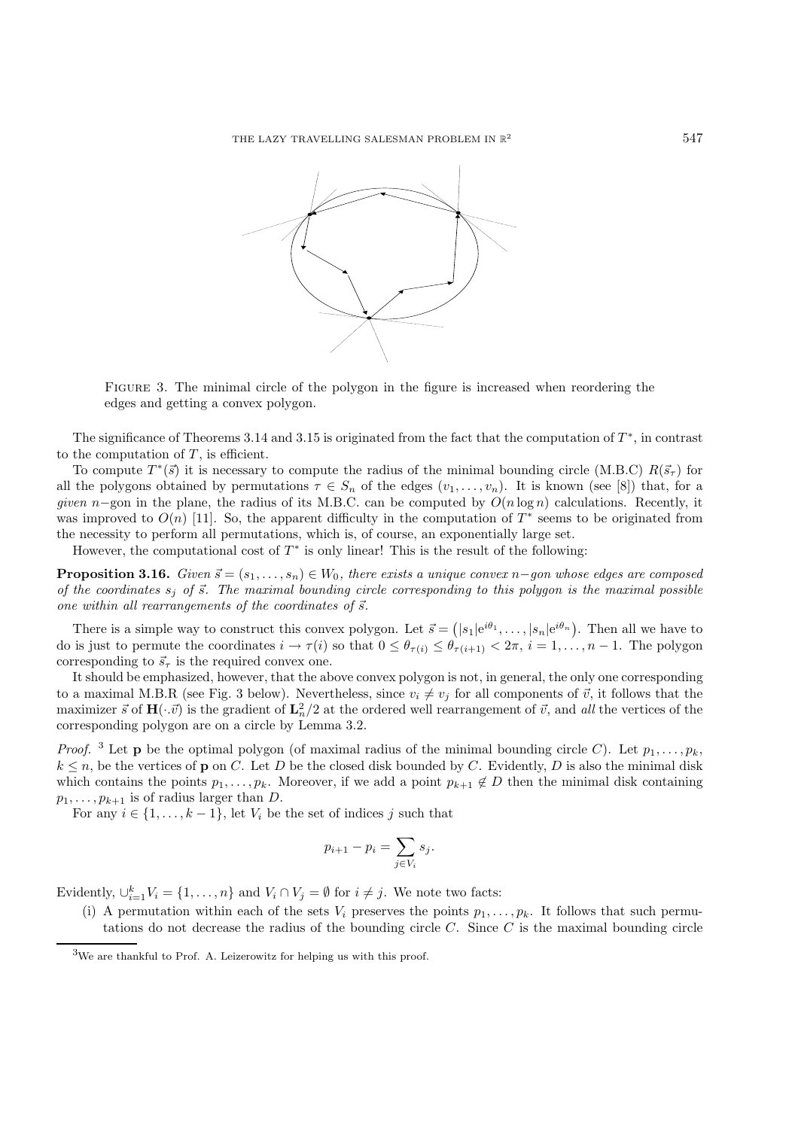

Figure 3. The minimal circle of the polygon in the figure is increased when reordering the edges and getting a convex polygon.

The significance of Theorems 3.14 and 3.15 is originated from the fact that the computation of  $T^*$ , in contrast to the computation of  $T$ , is efficient.

To compute  $T^*(\vec{s})$  it is necessary to compute the radius of the minimal bounding circle (M.B.C)  $R(\vec{s}_\tau)$  for all the polygons obtained by permutations  $\tau \in S_n$  of the edges  $(v_1,\ldots,v_n)$ . It is known (see [8]) that, for a *given* n–gon in the plane, the radius of its M.B.C. can be computed by  $O(n \log n)$  calculations. Recently, it was improved to  $O(n)$  [11]. So, the apparent difficulty in the computation of  $T^*$  seems to be originated from the necessity to perform all permutations, which is, of course, an exponentially large set.

However, the computational cost of  $T^*$  is only linear! This is the result of the following:

**Proposition 3.16.** *Given*  $\vec{s} = (s_1, \ldots, s_n) \in W_0$ , there exists a unique convex n–*gon whose edges are composed* of the coordinates  $s_j$  of  $\vec{s}$ . The maximal bounding circle corresponding to this polygon is the maximal possible one within all rearrangements of the coordinates of  $\vec{s}$ .

There is a simple way to construct this convex polygon. Let  $\vec{s} = (|s_1|e^{i\theta_1}, \ldots, |s_n|e^{i\theta_n})$ . Then all we have to do is just to permute the coordinates  $i \to \tau(i)$  so that  $0 \leq \theta_{\tau(i)} \leq \theta_{\tau(i+1)} < 2\pi$ ,  $i = 1, ..., n-1$ . The polygon corresponding to  $\vec{s}_{\tau}$  is the required convex one.

It should be emphasized, however, that the above convex polygon is not, in general, the only one corresponding to a maximal M.B.R (see Fig. 3 below). Nevertheless, since  $v_i \neq v_j$  for all components of  $\vec{v}$ , it follows that the maximizer  $\vec{s}$  of  $\mathbf{H}(\cdot \vec{v})$  is the gradient of  $\mathbf{L}_n^2/2$  at the ordered well rearrangement of  $\vec{v}$ , and *all* the vertices of the corresponding polygon are on a circle by Lemma 3.2.

*Proof.* <sup>3</sup> Let **p** be the optimal polygon (of maximal radius of the minimal bounding circle C). Let  $p_1, \ldots, p_k$ ,  $k \leq n$ , be the vertices of **p** on C. Let D be the closed disk bounded by C. Evidently, D is also the minimal disk which contains the points  $p_1, \ldots, p_k$ . Moreover, if we add a point  $p_{k+1} \notin D$  then the minimal disk containing  $p_1, \ldots, p_{k+1}$  is of radius larger than D.

For any  $i \in \{1, \ldots, k-1\}$ , let  $V_i$  be the set of indices j such that

$$
p_{i+1} - p_i = \sum_{j \in V_i} s_j.
$$

Evidently,  $\bigcup_{i=1}^{k} V_i = \{1, ..., n\}$  and  $V_i \cap V_j = \emptyset$  for  $i \neq j$ . We note two facts:

(i) A permutation within each of the sets  $V_i$  preserves the points  $p_1,\ldots,p_k$ . It follows that such permutations do not decrease the radius of the bounding circle  $C$ . Since  $C$  is the maximal bounding circle

<sup>3</sup>We are thankful to Prof. A. Leizerowitz for helping us with this proof.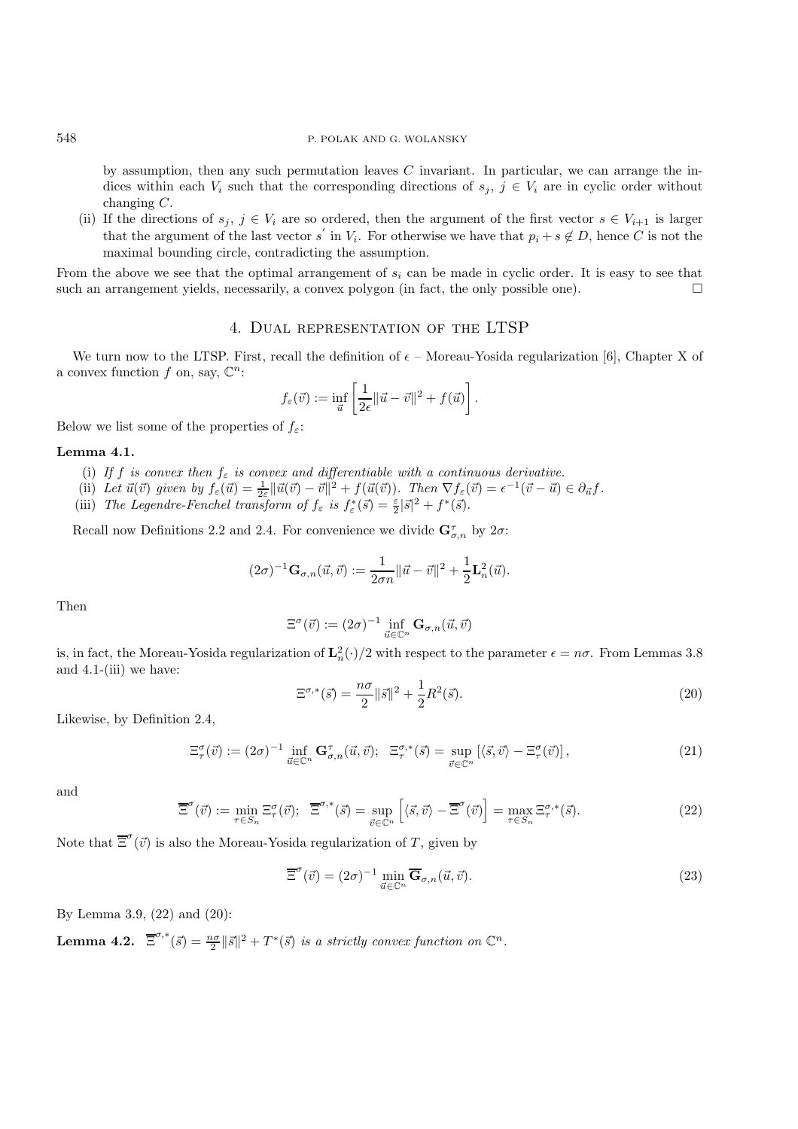by assumption, then any such permutation leaves  $C$  invariant. In particular, we can arrange the indices within each  $V_i$  such that the corresponding directions of  $s_j, j \in V_i$  are in cyclic order without changing C.

(ii) If the directions of  $s_j, j \in V_i$  are so ordered, then the argument of the first vector  $s \in V_{i+1}$  is larger that the argument of the last vector s' in  $V_i$ . For otherwise we have that  $p_i + s \notin D$ , hence C is not the maximal bounding circle, contradicting the assumption.

From the above we see that the optimal arrangement of  $s_i$  can be made in cyclic order. It is easy to see that such an arrangement yields, necessarily, a convex polygon (in fact, the only possible one).  $\Box$ 

## 4. Dual representation of the LTSP

We turn now to the LTSP. First, recall the definition of  $\epsilon$  – Moreau-Yosida regularization [6], Chapter X of a convex function f on, say,  $\mathbb{C}^n$ :

$$
f_{\varepsilon}(\vec{v}) := \inf_{\vec{u}} \left[ \frac{1}{2\epsilon} ||\vec{u} - \vec{v}||^2 + f(\vec{u}) \right].
$$

Below we list some of the properties of  $f_{\varepsilon}$ :

## **Lemma 4.1.**

- (i) If f is convex then  $f_{\varepsilon}$  is convex and differentiable with a continuous derivative.
- (ii) Let  $\vec{u}(\vec{v})$  given by  $f_{\varepsilon}(\vec{u}) = \frac{1}{2\varepsilon} ||\vec{u}(\vec{v}) \vec{v}||^2 + f(\vec{u}(\vec{v}))$ . Then  $\nabla f_{\varepsilon}(\vec{v}) = \epsilon^{-1}(\vec{v} \vec{u}) \in \partial_{\vec{u}} f$ .
- (iii) *The Legendre-Fenchel transform of*  $f_{\varepsilon}$  *is*  $f_{\varepsilon}^*(\vec{s}) = \frac{\varepsilon}{2} |\vec{s}|^2 + f^*(\vec{s})$ .

Recall now Definitions 2.2 and 2.4. For convenience we divide  $\mathbf{G}_{\sigma,n}^{\tau}$  by  $2\sigma$ :

$$
(2\sigma)^{-1}\mathbf{G}_{\sigma,n}(\vec{u},\vec{v}) := \frac{1}{2\sigma n} \|\vec{u} - \vec{v}\|^2 + \frac{1}{2}\mathbf{L}_n^2(\vec{u}).
$$

Then

$$
\Xi^{\sigma}(\vec{v}) := (2\sigma)^{-1} \inf_{\vec{u} \in \mathbb{C}^n} \mathbf{G}_{\sigma,n}(\vec{u}, \vec{v})
$$

is, in fact, the Moreau-Yosida regularization of  $\mathbf{L}_n^2(\cdot)/2$  with respect to the parameter  $\epsilon = n\sigma$ . From Lemmas 3.8 and 4.1-(iii) we have:

$$
\Xi^{\sigma,*}(\vec{s}) = \frac{n\sigma}{2} \|\vec{s}\|^2 + \frac{1}{2} R^2(\vec{s}).
$$
\n(20)

Likewise, by Definition 2.4,

$$
\Xi_{\tau}^{\sigma}(\vec{v}) := (2\sigma)^{-1} \inf_{\vec{u} \in \mathbb{C}^n} \mathbf{G}_{\sigma,n}^{\tau}(\vec{u}, \vec{v}); \quad \Xi_{\tau}^{\sigma,*}(\vec{s}) = \sup_{\vec{v} \in \mathbb{C}^n} \left[ \langle \vec{s}, \vec{v} \rangle - \Xi_{\tau}^{\sigma}(\vec{v}) \right], \tag{21}
$$

and

$$
\overline{\Xi}^{\sigma}(\vec{v}) := \min_{\tau \in S_n} \Xi^{\sigma}_{\tau}(\vec{v}); \quad \overline{\Xi}^{\sigma,*}(\vec{s}) = \sup_{\vec{v} \in \mathbb{C}^n} \left[ \langle \vec{s}, \vec{v} \rangle - \overline{\Xi}^{\sigma}(\vec{v}) \right] = \max_{\tau \in S_n} \Xi^{\sigma,*}(\vec{s}). \tag{22}
$$

Note that  $\overline{\Xi}^{\sigma}(\vec{v})$  is also the Moreau-Yosida regularization of T, given by

$$
\overline{\Xi}^{\sigma}(\vec{v}) = (2\sigma)^{-1} \min_{\vec{u} \in \mathbb{C}^n} \overline{\mathbf{G}}_{\sigma,n}(\vec{u}, \vec{v}).
$$
\n(23)

By Lemma 3.9, (22) and (20):

**Lemma 4.2.**  $\overline{\Xi}^{\sigma,*}(\vec{s}) = \frac{n\sigma}{2} ||\vec{s}||^2 + T^*(\vec{s})$  *is a strictly convex function on*  $\mathbb{C}^n$ .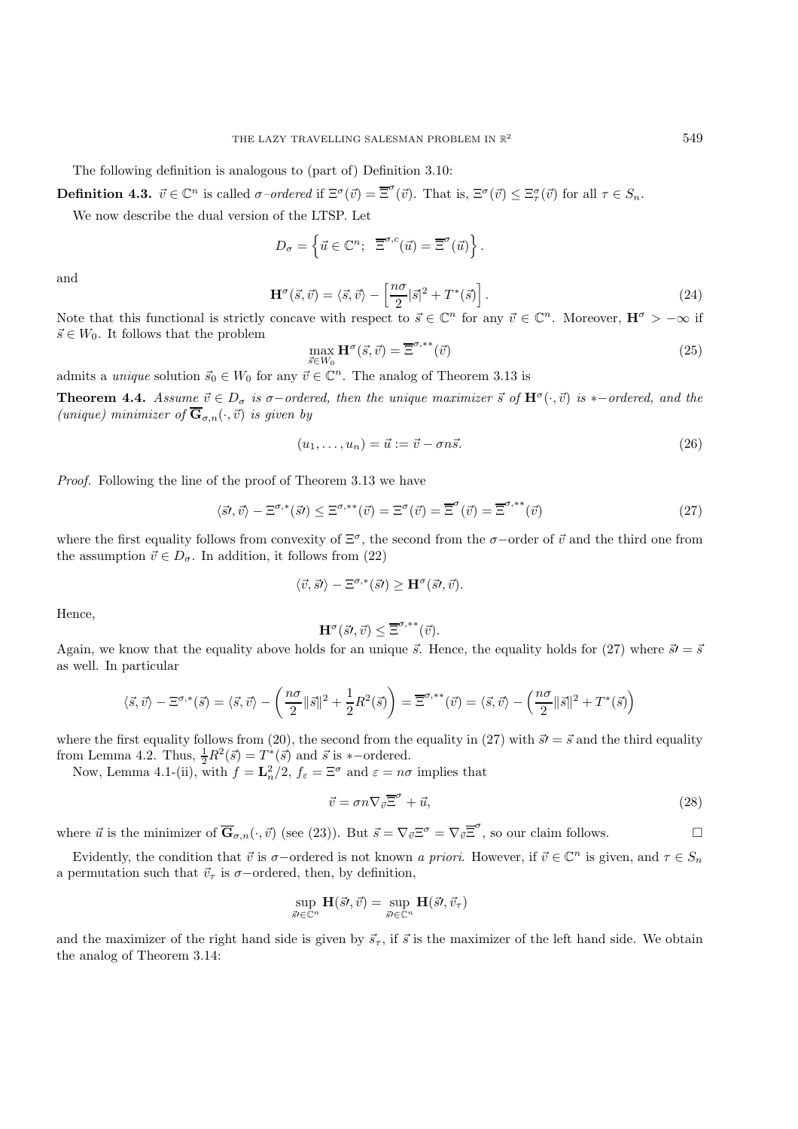The following definition is analogous to (part of) Definition 3.10:

**Definition 4.3.**  $\vec{v} \in \mathbb{C}^n$  is called  $\sigma$ -ordered if  $\Xi^{\sigma}(\vec{v}) = \overline{\Xi}^{\sigma}(\vec{v})$ . That is,  $\Xi^{\sigma}(\vec{v}) \leq \Xi^{\sigma}_{\tau}(\vec{v})$  for all  $\tau \in S_n$ .

We now describe the dual version of the LTSP. Let

$$
D_{\sigma} = \left\{ \vec{u} \in \mathbb{C}^n; \ \ \overline{\Xi}^{\sigma,c}(\vec{u}) = \overline{\Xi}^{\sigma}(\vec{u}) \right\}.
$$

and

$$
\mathbf{H}^{\sigma}(\vec{s},\vec{v}) = \langle \vec{s},\vec{v} \rangle - \left[ \frac{n\sigma}{2} |\vec{s}|^2 + T^*(\vec{s}) \right]. \tag{24}
$$

Note that this functional is strictly concave with respect to  $\vec{s} \in \mathbb{C}^n$  for any  $\vec{v} \in \mathbb{C}^n$ . Moreover,  $\mathbf{H}^{\sigma} > -\infty$  if  $\vec{s} \in W_0$ . It follows that the problem

$$
\max_{\vec{s}\in W_0} \mathbf{H}^{\sigma}(\vec{s}, \vec{v}) = \overline{\Xi}^{\sigma, **}(\vec{v})
$$
\n(25)

admits a *unique* solution  $\vec{s}_0 \in W_0$  for any  $\vec{v} \in \mathbb{C}^n$ . The analog of Theorem 3.13 is

**Theorem 4.4.** *Assume*  $\vec{v} \in D_{\sigma}$  *is*  $\sigma$ -*ordered, then the unique maximizer*  $\vec{s}$  *of*  $\mathbf{H}^{\sigma}(\cdot, \vec{v})$  *is* \*-*ordered, and the (unique)* minimizer of  $\overline{\mathbf{G}}_{\sigma,n}(\cdot,\vec{v})$  *is given by* 

$$
(u_1, \ldots, u_n) = \vec{u} := \vec{v} - \sigma n \vec{s}.\tag{26}
$$

*Proof.* Following the line of the proof of Theorem 3.13 we have

$$
\langle \vec{s'} , \vec{v} \rangle - \Xi^{\sigma,*}(\vec{s'}) \leq \Xi^{\sigma,**}(\vec{v}) = \Xi^{\sigma}(\vec{v}) = \overline{\Xi}^{\sigma}(\vec{v}) = \overline{\Xi}^{\sigma,**}(\vec{v})
$$
\n(27)

where the first equality follows from convexity of  $\Xi^{\sigma}$ , the second from the  $\sigma$ -order of  $\vec{v}$  and the third one from the assumption  $\vec{v} \in D_{\sigma}$ . In addition, it follows from (22)

$$
\langle \vec{v}, \vec{s} \prime \rangle - \Xi^{\sigma,*}(\vec{s} \prime) \geq \mathbf{H}^{\sigma}(\vec{s} \prime, \vec{v}).
$$

Hence,

$$
\mathbf{H}^{\sigma}(\vec{s}\prime,\vec{v})\leq\overline{\Xi}^{\sigma,**}(\vec{v}).
$$

Again, we know that the equality above holds for an unique  $\vec{s}$ . Hence, the equality holds for (27) where  $\vec{s}$  =  $\vec{s}$ as well. In particular

$$
\langle \vec{s}, \vec{v} \rangle - \Xi^{\sigma,*}(\vec{s}) = \langle \vec{s}, \vec{v} \rangle - \left(\frac{n\sigma}{2} \|\vec{s}\|^2 + \frac{1}{2}R^2(\vec{s})\right) = \overline{\Xi}^{\sigma,**}(\vec{v}) = \langle \vec{s}, \vec{v} \rangle - \left(\frac{n\sigma}{2} \|\vec{s}\|^2 + T^*(\vec{s})\right)
$$

where the first equality follows from (20), the second from the equality in (27) with  $\vec{s}$  =  $\vec{s}$  and the third equality from Lemma 4.2. Thus,  $\frac{1}{2}R^2(\vec{s}) = T^*(\vec{s})$  and  $\vec{s}$  is \*-ordered.

Now, Lemma 4.1-(ii), with  $f = \mathbf{L}_n^2/2$ ,  $f_{\varepsilon} = \Xi^{\sigma}$  and  $\varepsilon = n\sigma$  implies that

$$
\vec{v} = \sigma n \nabla_{\vec{v}} \overline{\Xi}^{\sigma} + \vec{u},\tag{28}
$$

where  $\vec{u}$  is the minimizer of  $\overline{\mathbf{G}}_{\sigma,n}(\cdot,\vec{v})$  (see (23)). But  $\vec{s} = \nabla_{\vec{v}} \Xi^{\sigma} = \nabla_{\vec{v}} \overline{\Xi}^{\sigma}$ , so our claim follows.

Evidently, the condition that  $\vec{v}$  is  $\sigma$ -ordered is not known *a priori*. However, if  $\vec{v} \in \mathbb{C}^n$  is given, and  $\tau \in S_n$ a permutation such that  $\vec{v}_{\tau}$  is  $\sigma$ -ordered, then, by definition,

$$
\sup_{\vec{s}\in\mathbb{C}^n} \mathbf{H}(\vec{s}\prime,\vec{v}) = \sup_{\vec{s}\prime\in\mathbb{C}^n} \mathbf{H}(\vec{s}\prime,\vec{v}_\tau)
$$

and the maximizer of the right hand side is given by  $\vec{s}_{\tau}$ , if  $\vec{s}$  is the maximizer of the left hand side. We obtain the analog of Theorem 3.14: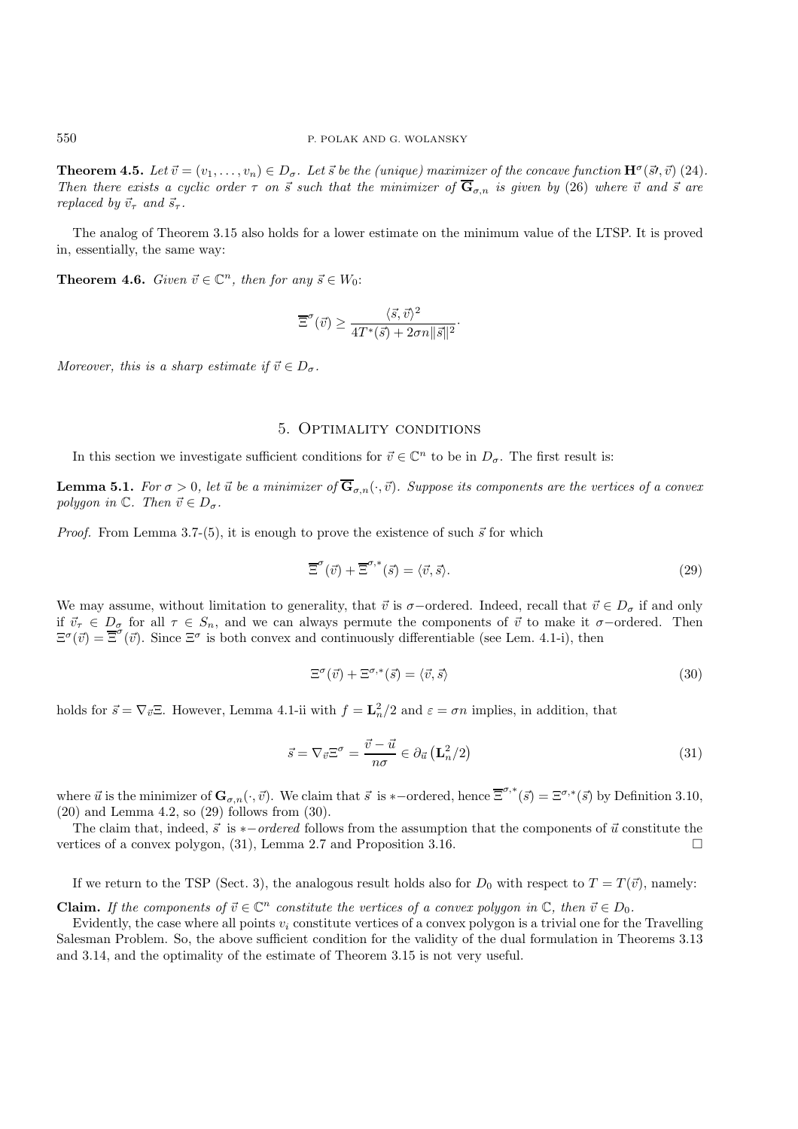**Theorem 4.5.** Let  $\vec{v} = (v_1, \ldots, v_n) \in D_{\sigma}$ . Let  $\vec{s}$  be the (unique) maximizer of the concave function  $\mathbf{H}^{\sigma}(\vec{s}, \vec{v})$  (24). *Then there exists a cyclic order*  $\tau$  *on*  $\vec{s}$  *such that the minimizer of*  $\overline{G}_{\sigma,n}$  *is given by* (26) *where*  $\vec{v}$  *and*  $\vec{s}$  *are replaced by*  $\vec{v}_{\tau}$  *and*  $\vec{s}_{\tau}$ *.* 

The analog of Theorem 3.15 also holds for a lower estimate on the minimum value of the LTSP. It is proved in, essentially, the same way:

**Theorem 4.6.** *Given*  $\vec{v} \in \mathbb{C}^n$ *, then for any*  $\vec{s} \in W_0$ :

$$
\overline{\Xi}^{\sigma}(\vec{v}) \ge \frac{\langle \vec{s}, \vec{v} \rangle^2}{4T^*(\vec{s}) + 2\sigma n ||\vec{s}||^2}.
$$

*Moreover, this is a sharp estimate if*  $\vec{v} \in D_{\sigma}$ .

## 5. Optimality conditions

In this section we investigate sufficient conditions for  $\vec{v} \in \mathbb{C}^n$  to be in  $D_{\sigma}$ . The first result is:

**Lemma 5.1.** For  $\sigma > 0$ , let  $\vec{u}$  be a minimizer of  $\overline{\mathbf{G}}_{\sigma,n}(\cdot,\vec{v})$ . Suppose its components are the vertices of a convex  $polygon \in \mathbb{C}$ *. Then*  $\vec{v} \in D_{\sigma}$ *.* 

*Proof.* From Lemma 3.7-(5), it is enough to prove the existence of such  $\vec{s}$  for which

$$
\overline{\Xi}^{\sigma}(\vec{v}) + \overline{\Xi}^{\sigma,*}(\vec{s}) = \langle \vec{v}, \vec{s} \rangle. \tag{29}
$$

We may assume, without limitation to generality, that  $\vec{v}$  is  $\sigma$ -ordered. Indeed, recall that  $\vec{v} \in D_{\sigma}$  if and only if  $\vec{v}_{\tau} \in D_{\sigma}$  for all  $\tau \in S_n$ , and we can always permute the components of  $\vec{v}$  to make it  $\sigma$ -ordered. Then  $\Xi^{\sigma}(\vec{v}) = \overline{\Xi}^{\sigma}(\vec{v})$ . Since  $\Xi^{\sigma}$  is both convex and continuously differentiable (see Lem. 4.1-i), then

$$
\Xi^{\sigma}(\vec{v}) + \Xi^{\sigma,*}(\vec{s}) = \langle \vec{v}, \vec{s} \rangle \tag{30}
$$

holds for  $\vec{s} = \nabla_{\vec{v}} \Xi$ . However, Lemma 4.1-ii with  $f = \mathbf{L}_n^2/2$  and  $\varepsilon = \sigma n$  implies, in addition, that

$$
\vec{s} = \nabla_{\vec{v}} \Xi^{\sigma} = \frac{\vec{v} - \vec{u}}{n\sigma} \in \partial_{\vec{u}} \left( \mathbf{L}_n^2 / 2 \right)
$$
\n(31)

where  $\vec{u}$  is the minimizer of  $\mathbf{G}_{\sigma,n}(\cdot,\vec{v})$ . We claim that  $\vec{s}$  is \*-ordered, hence  $\overline{\Xi}^{\sigma,*}(\vec{s}) = \Xi^{\sigma,*}(\vec{s})$  by Definition 3.10, (20) and Lemma 4.2, so (29) follows from (30).

The claim that, indeed,  $\vec{s}$  is \**−ordered* follows from the assumption that the components of  $\vec{u}$  constitute the vertices of a convex polygon,  $(31)$ , Lemma 2.7 and Proposition 3.16.

If we return to the TSP (Sect. 3), the analogous result holds also for  $D_0$  with respect to  $T = T(\vec{v})$ , namely:

**Claim.** If the components of  $\vec{v} \in \mathbb{C}^n$  constitute the vertices of a convex polygon in  $\mathbb{C}$ , then  $\vec{v} \in D_0$ .

Evidently, the case where all points  $v_i$  constitute vertices of a convex polygon is a trivial one for the Travelling Salesman Problem. So, the above sufficient condition for the validity of the dual formulation in Theorems 3.13 and 3.14, and the optimality of the estimate of Theorem 3.15 is not very useful.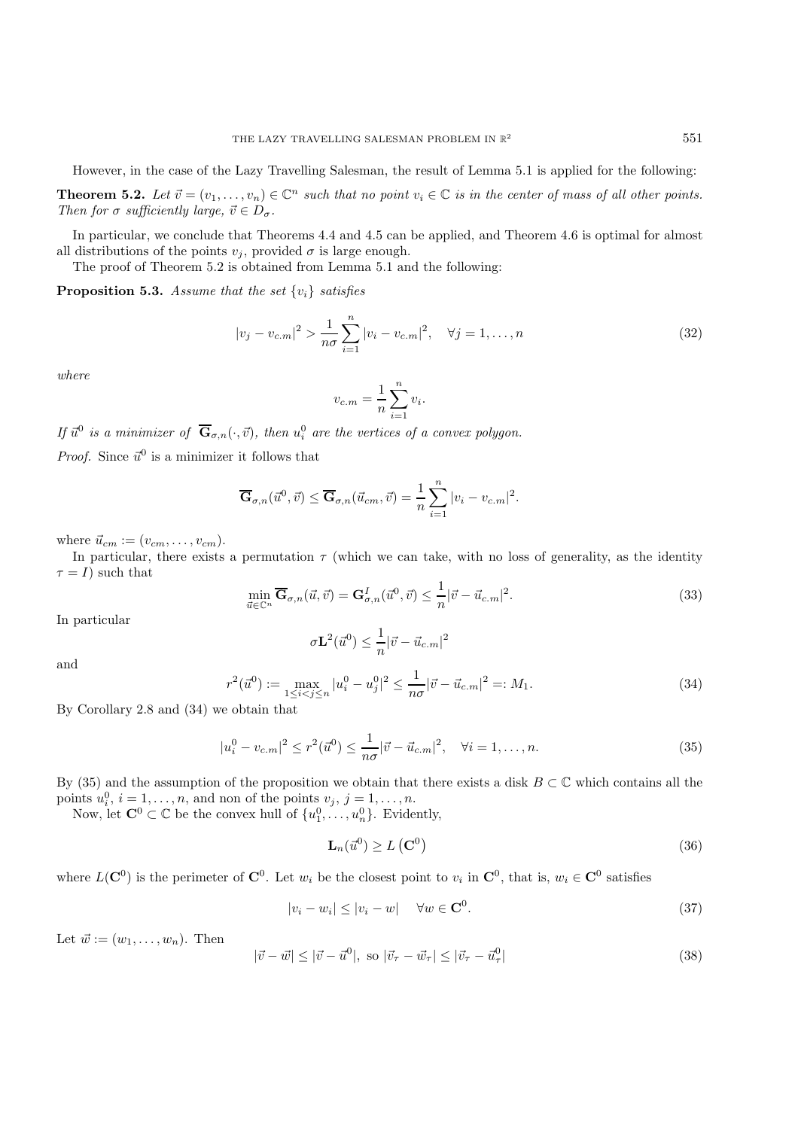However, in the case of the Lazy Travelling Salesman, the result of Lemma 5.1 is applied for the following:

**Theorem 5.2.** Let  $\vec{v} = (v_1, \ldots, v_n) \in \mathbb{C}^n$  such that no point  $v_i \in \mathbb{C}$  is in the center of mass of all other points. *Then for*  $\sigma$  *sufficiently large,*  $\vec{v} \in D_{\sigma}$ *.* 

In particular, we conclude that Theorems 4.4 and 4.5 can be applied, and Theorem 4.6 is optimal for almost all distributions of the points  $v_i$ , provided  $\sigma$  is large enough.

The proof of Theorem 5.2 is obtained from Lemma 5.1 and the following:

**Proposition 5.3.** *Assume that the set* {vi} *satisfies*

$$
|v_j - v_{c.m}|^2 > \frac{1}{n\sigma} \sum_{i=1}^n |v_i - v_{c.m}|^2, \quad \forall j = 1, ..., n
$$
 (32)

*where*

$$
v_{c.m} = \frac{1}{n} \sum_{i=1}^{n} v_i.
$$

*If*  $\vec{u}^0$  *is a minimizer of*  $\overline{\mathbf{G}}_{\sigma,n}(\cdot,\vec{v})$ *, then*  $u_i^0$  *are the vertices of a convex polygon.* 

*Proof.* Since  $\vec{u}^0$  is a minimizer it follows that

$$
\overline{\mathbf{G}}_{\sigma,n}(\vec{u}^0, \vec{v}) \leq \overline{\mathbf{G}}_{\sigma,n}(\vec{u}_{cm}, \vec{v}) = \frac{1}{n} \sum_{i=1}^n |v_i - v_{c.m}|^2.
$$

where  $\vec{u}_{cm} := (v_{cm}, \ldots, v_{cm}).$ 

In particular, there exists a permutation  $\tau$  (which we can take, with no loss of generality, as the identity  $\tau = I$ ) such that

$$
\min_{\vec{u}\in\mathbb{C}^n} \overline{\mathbf{G}}_{\sigma,n}(\vec{u},\vec{v}) = \mathbf{G}_{\sigma,n}^I(\vec{u}^0,\vec{v}) \le \frac{1}{n} |\vec{v} - \vec{u}_{c.m}|^2.
$$
\n(33)

In particular

$$
\sigma \mathbf{L}^2(\vec{u}^0) \leq \frac{1}{n} |\vec{v} - \vec{u}_{c.m}|^2
$$

and

$$
r^{2}(\vec{u}^{0}) := \max_{1 \leq i < j \leq n} |u_{i}^{0} - u_{j}^{0}|^{2} \leq \frac{1}{n\sigma} |\vec{v} - \vec{u}_{c.m}|^{2} =: M_{1}.
$$
\n(34)

By Corollary 2.8 and (34) we obtain that

$$
|u_i^0 - v_{c.m}|^2 \le r^2(\vec{u}^0) \le \frac{1}{n\sigma} |\vec{v} - \vec{u}_{c.m}|^2, \quad \forall i = 1, ..., n.
$$
 (35)

By (35) and the assumption of the proposition we obtain that there exists a disk  $B \subset \mathbb{C}$  which contains all the points  $u_i^0$ ,  $i = 1, \ldots, n$ , and non of the points  $v_j$ ,  $j = 1, \ldots, n$ .

Now, let  $\mathbf{C}^0 \subset \mathbb{C}$  be the convex hull of  $\{u_1^0, \ldots, u_n^0\}$ . Evidently,

$$
\mathbf{L}_n(\vec{u}^0) \ge L\left(\mathbf{C}^0\right) \tag{36}
$$

where  $L(\mathbf{C}^0)$  is the perimeter of  $\mathbf{C}^0$ . Let  $w_i$  be the closest point to  $v_i$  in  $\mathbf{C}^0$ , that is,  $w_i \in \mathbf{C}^0$  satisfies

$$
|v_i - w_i| \le |v_i - w| \quad \forall w \in \mathbf{C}^0. \tag{37}
$$

Let  $\vec{w} := (w_1, \ldots, w_n)$ . Then

$$
|\vec{v} - \vec{w}| \le |\vec{v} - \vec{u}^0|, \text{ so } |\vec{v}_\tau - \vec{w}_\tau| \le |\vec{v}_\tau - \vec{u}^0_\tau| \tag{38}
$$